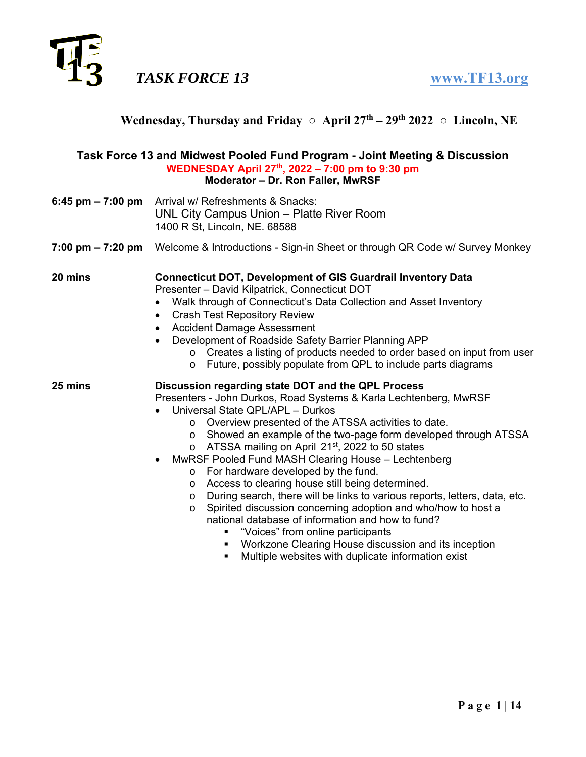

| Task Force 13 and Midwest Pooled Fund Program - Joint Meeting & Discussion           |                                                                                                                                                                                                                                                                                                                                                                                                                                                                                                                                                                                                                                                                                                                                                                                                                                                                                                                                  |  |  |  |  |  |  |
|--------------------------------------------------------------------------------------|----------------------------------------------------------------------------------------------------------------------------------------------------------------------------------------------------------------------------------------------------------------------------------------------------------------------------------------------------------------------------------------------------------------------------------------------------------------------------------------------------------------------------------------------------------------------------------------------------------------------------------------------------------------------------------------------------------------------------------------------------------------------------------------------------------------------------------------------------------------------------------------------------------------------------------|--|--|--|--|--|--|
| WEDNESDAY April 27th, 2022 - 7:00 pm to 9:30 pm<br>Moderator - Dr. Ron Faller, MwRSF |                                                                                                                                                                                                                                                                                                                                                                                                                                                                                                                                                                                                                                                                                                                                                                                                                                                                                                                                  |  |  |  |  |  |  |
| 6:45 pm – 7:00 pm                                                                    | Arrival w/ Refreshments & Snacks:<br>UNL City Campus Union - Platte River Room<br>1400 R St, Lincoln, NE. 68588                                                                                                                                                                                                                                                                                                                                                                                                                                                                                                                                                                                                                                                                                                                                                                                                                  |  |  |  |  |  |  |
| 7:00 pm – 7:20 pm                                                                    | Welcome & Introductions - Sign-in Sheet or through QR Code w/ Survey Monkey                                                                                                                                                                                                                                                                                                                                                                                                                                                                                                                                                                                                                                                                                                                                                                                                                                                      |  |  |  |  |  |  |
| 20 mins                                                                              | <b>Connecticut DOT, Development of GIS Guardrail Inventory Data</b><br>Presenter - David Kilpatrick, Connecticut DOT<br>Walk through of Connecticut's Data Collection and Asset Inventory<br><b>Crash Test Repository Review</b><br>$\bullet$<br><b>Accident Damage Assessment</b><br>$\bullet$<br>Development of Roadside Safety Barrier Planning APP<br>$\bullet$<br>o Creates a listing of products needed to order based on input from user<br>o Future, possibly populate from QPL to include parts diagrams                                                                                                                                                                                                                                                                                                                                                                                                                |  |  |  |  |  |  |
| 25 mins                                                                              | Discussion regarding state DOT and the QPL Process<br>Presenters - John Durkos, Road Systems & Karla Lechtenberg, MwRSF<br>Universal State QPL/APL - Durkos<br>Overview presented of the ATSSA activities to date.<br>$\circ$<br>Showed an example of the two-page form developed through ATSSA<br>$\circ$<br>ATSSA mailing on April 21 <sup>st</sup> , 2022 to 50 states<br>$\circ$<br>MwRSF Pooled Fund MASH Clearing House - Lechtenberg<br>o For hardware developed by the fund.<br>Access to clearing house still being determined.<br>$\circ$<br>During search, there will be links to various reports, letters, data, etc.<br>$\circ$<br>Spirited discussion concerning adoption and who/how to host a<br>$\circ$<br>national database of information and how to fund?<br>"Voices" from online participants<br>Workzone Clearing House discussion and its inception<br>Multiple websites with duplicate information exist |  |  |  |  |  |  |

Wednesday, Thursday and Friday ○ April 27<sup>th</sup> – 29<sup>th</sup> 2022 ○ Lincoln, NE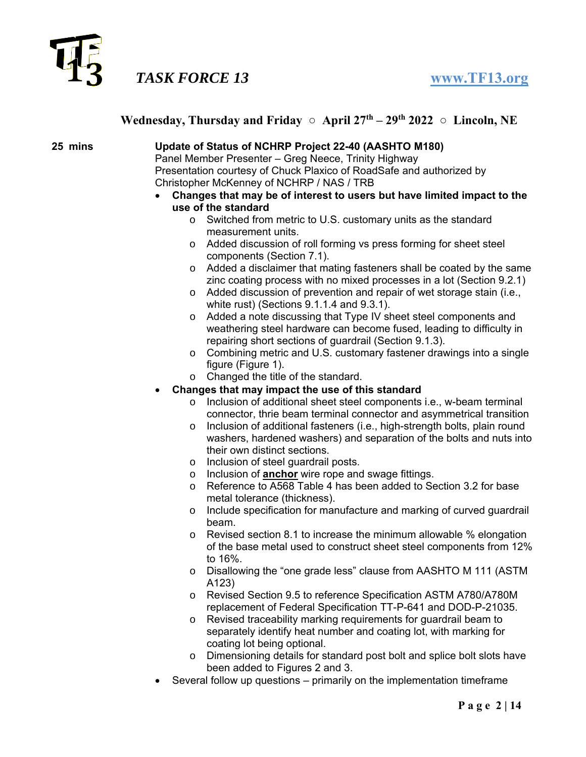

### **Wednesday, Thursday and Friday**  $\circ$  **April 27<sup>th</sup> – 29<sup>th</sup> 2022**  $\circ$  **Lincoln, NE**

### **25 mins Update of Status of NCHRP Project 22-40 (AASHTO M180)**

 Panel Member Presenter – Greg Neece, Trinity Highway Presentation courtesy of Chuck Plaxico of RoadSafe and authorized by Christopher McKenney of NCHRP / NAS / TRB

- **Changes that may be of interest to users but have limited impact to the use of the standard** 
	- o Switched from metric to U.S. customary units as the standard measurement units.
	- o Added discussion of roll forming vs press forming for sheet steel components (Section 7.1).
	- o Added a disclaimer that mating fasteners shall be coated by the same zinc coating process with no mixed processes in a lot (Section 9.2.1)
	- o Added discussion of prevention and repair of wet storage stain (i.e., white rust) (Sections 9.1.1.4 and 9.3.1).
	- o Added a note discussing that Type IV sheet steel components and weathering steel hardware can become fused, leading to difficulty in repairing short sections of guardrail (Section 9.1.3).
	- o Combining metric and U.S. customary fastener drawings into a single figure (Figure 1).
	- o Changed the title of the standard.
- **Changes that may impact the use of this standard**
	- o Inclusion of additional sheet steel components i.e., w-beam terminal connector, thrie beam terminal connector and asymmetrical transition
	- o Inclusion of additional fasteners (i.e., high-strength bolts, plain round washers, hardened washers) and separation of the bolts and nuts into their own distinct sections.
	- o Inclusion of steel guardrail posts.
	- o Inclusion of **anchor** wire rope and swage fittings.
	- o Reference to A568 Table 4 has been added to Section 3.2 for base metal tolerance (thickness).
	- o Include specification for manufacture and marking of curved guardrail beam.
	- $\circ$  Revised section 8.1 to increase the minimum allowable % elongation of the base metal used to construct sheet steel components from 12% to 16%.
	- o Disallowing the "one grade less" clause from AASHTO M 111 (ASTM A123)
	- o Revised Section 9.5 to reference Specification ASTM A780/A780M replacement of Federal Specification TT-P-641 and DOD-P-21035.
	- o Revised traceability marking requirements for guardrail beam to separately identify heat number and coating lot, with marking for coating lot being optional.
	- o Dimensioning details for standard post bolt and splice bolt slots have been added to Figures 2 and 3.
- Several follow up questions primarily on the implementation timeframe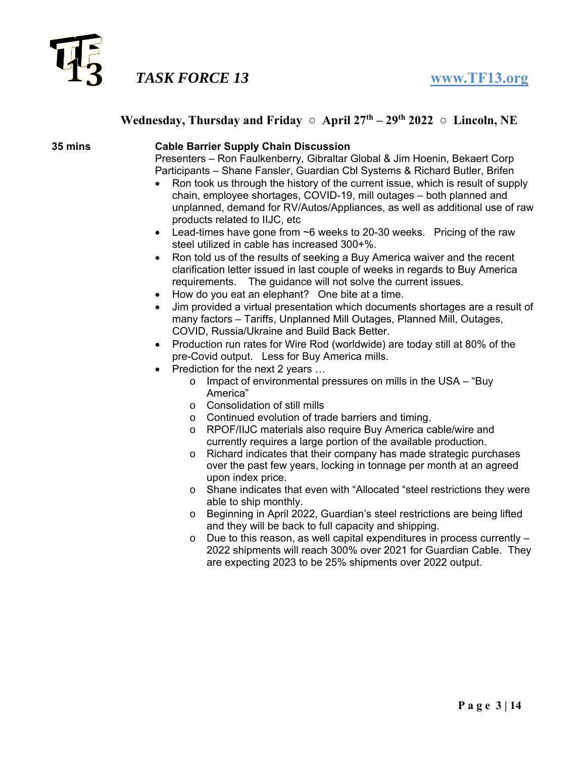

### **Wednesday, Thursday and Friday**  $\circ$  **April 27<sup>th</sup> – 29<sup>th</sup> 2022**  $\circ$  **Lincoln, NE**

### **35 mins Cable Barrier Supply Chain Discussion**

 Presenters – Ron Faulkenberry, Gibraltar Global & Jim Hoenin, Bekaert Corp Participants – Shane Fansler, Guardian Cbl Systems & Richard Butler, Brifen

- Ron took us through the history of the current issue, which is result of supply chain, employee shortages, COVID-19, mill outages – both planned and unplanned, demand for RV/Autos/Appliances, as well as additional use of raw products related to IIJC, etc
- Lead-times have gone from ~6 weeks to 20-30 weeks. Pricing of the raw steel utilized in cable has increased 300+%.
- Ron told us of the results of seeking a Buy America waiver and the recent clarification letter issued in last couple of weeks in regards to Buy America requirements. The guidance will not solve the current issues.
- How do you eat an elephant? One bite at a time.
- Jim provided a virtual presentation which documents shortages are a result of many factors – Tariffs, Unplanned Mill Outages, Planned Mill, Outages, COVID, Russia/Ukraine and Build Back Better.
- Production run rates for Wire Rod (worldwide) are today still at 80% of the pre-Covid output. Less for Buy America mills.
- Prediction for the next 2 years …
	- $\circ$  Impact of environmental pressures on mills in the USA "Buy" America"
	- o Consolidation of still mills
	- o Continued evolution of trade barriers and timing.
	- o RPOF/IIJC materials also require Buy America cable/wire and currently requires a large portion of the available production.
	- o Richard indicates that their company has made strategic purchases over the past few years, locking in tonnage per month at an agreed upon index price.
	- o Shane indicates that even with "Allocated "steel restrictions they were able to ship monthly.
	- o Beginning in April 2022, Guardian's steel restrictions are being lifted and they will be back to full capacity and shipping.
	- o Due to this reason, as well capital expenditures in process currently 2022 shipments will reach 300% over 2021 for Guardian Cable. They are expecting 2023 to be 25% shipments over 2022 output.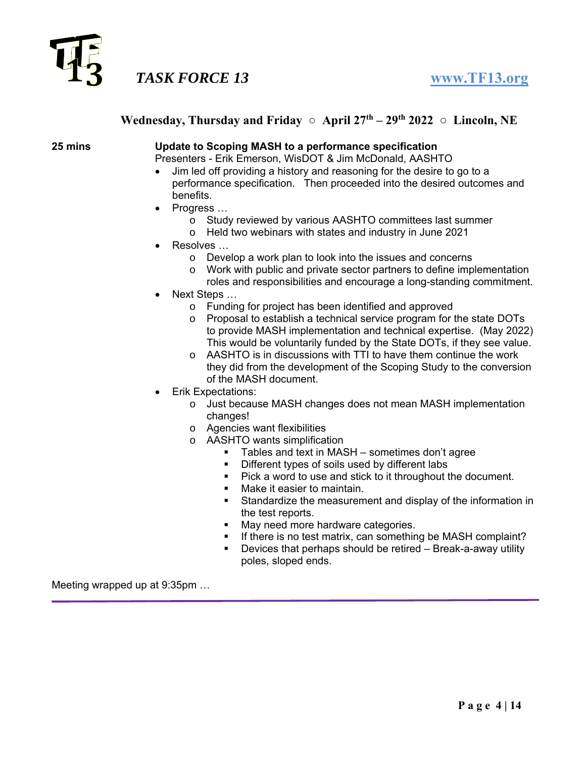

### **Wednesday, Thursday and Friday**  $\circ$  **April 27<sup>th</sup> – 29<sup>th</sup> 2022**  $\circ$  **Lincoln, NE**

#### **25 mins Update to Scoping MASH to a performance specification**

Presenters - Erik Emerson, WisDOT & Jim McDonald, AASHTO

- Jim led off providing a history and reasoning for the desire to go to a performance specification. Then proceeded into the desired outcomes and benefits.
- Progress ...
	- o Study reviewed by various AASHTO committees last summer
	- o Held two webinars with states and industry in June 2021
- Resolves …
	- o Develop a work plan to look into the issues and concerns
	- o Work with public and private sector partners to define implementation
	- roles and responsibilities and encourage a long-standing commitment.
- Next Steps …
	- o Funding for project has been identified and approved
	- $\circ$  Proposal to establish a technical service program for the state DOTs to provide MASH implementation and technical expertise. (May 2022) This would be voluntarily funded by the State DOTs, if they see value.
	- o AASHTO is in discussions with TTI to have them continue the work they did from the development of the Scoping Study to the conversion of the MASH document.
- Erik Expectations:
	- o Just because MASH changes does not mean MASH implementation changes!
	- o Agencies want flexibilities
	- o AASHTO wants simplification
		- Tables and text in MASH sometimes don't agree
		- Different types of soils used by different labs
		- Pick a word to use and stick to it throughout the document.
		- Make it easier to maintain.
		- **Standardize the measurement and display of the information in** the test reports.
		- May need more hardware categories.
		- If there is no test matrix, can something be MASH complaint?
		- Devices that perhaps should be retired Break-a-away utility poles, sloped ends.

Meeting wrapped up at 9:35pm …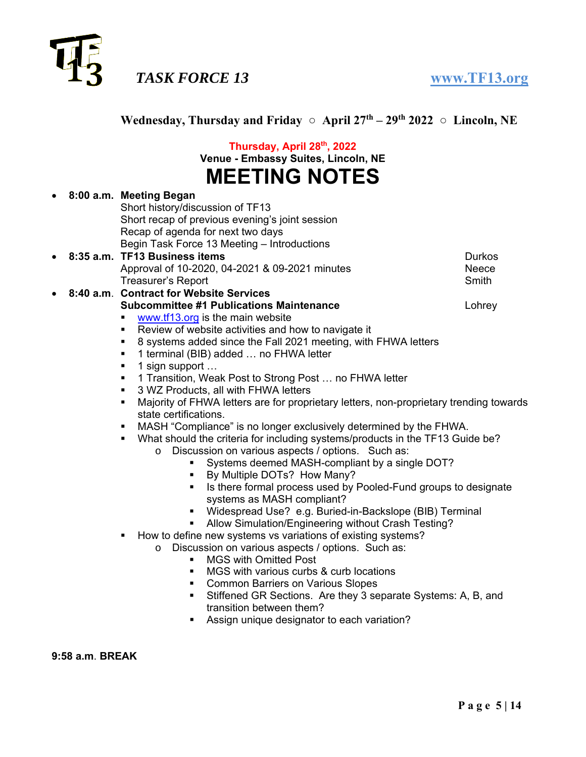

|                      |  | Thursday, April 28th, 2022<br>Venue - Embassy Suites, Lincoln, NE                                                                                                                                                                                                                                                                                                                                                                                                                                                                                                                                                                                                                                                                                         |                        |  |  |  |
|----------------------|--|-----------------------------------------------------------------------------------------------------------------------------------------------------------------------------------------------------------------------------------------------------------------------------------------------------------------------------------------------------------------------------------------------------------------------------------------------------------------------------------------------------------------------------------------------------------------------------------------------------------------------------------------------------------------------------------------------------------------------------------------------------------|------------------------|--|--|--|
| <b>MEETING NOTES</b> |  |                                                                                                                                                                                                                                                                                                                                                                                                                                                                                                                                                                                                                                                                                                                                                           |                        |  |  |  |
| $\bullet$            |  | 8:00 a.m. Meeting Began<br>Short history/discussion of TF13<br>Short recap of previous evening's joint session<br>Recap of agenda for next two days                                                                                                                                                                                                                                                                                                                                                                                                                                                                                                                                                                                                       |                        |  |  |  |
| $\bullet$            |  | Begin Task Force 13 Meeting - Introductions<br>8:35 a.m. TF13 Business items<br>Approval of 10-2020, 04-2021 & 09-2021 minutes                                                                                                                                                                                                                                                                                                                                                                                                                                                                                                                                                                                                                            | <b>Durkos</b><br>Neece |  |  |  |
| $\bullet$            |  | Treasurer's Report<br>8:40 a.m. Contract for Website Services<br><b>Subcommittee #1 Publications Maintenance</b>                                                                                                                                                                                                                                                                                                                                                                                                                                                                                                                                                                                                                                          | Smith<br>Lohrey        |  |  |  |
|                      |  | www.tf13.org is the main website<br>Review of website activities and how to navigate it<br>п<br>8 systems added since the Fall 2021 meeting, with FHWA letters<br>п<br>1 terminal (BIB) added  no FHWA letter<br>٠<br>1 sign support<br>٠<br>1 Transition, Weak Post to Strong Post  no FHWA letter<br>3 WZ Products, all with FHWA letters<br>Majority of FHWA letters are for proprietary letters, non-proprietary trending towards<br>٠<br>state certifications.<br>MASH "Compliance" is no longer exclusively determined by the FHWA.<br>What should the criteria for including systems/products in the TF13 Guide be?                                                                                                                                |                        |  |  |  |
|                      |  | Discussion on various aspects / options. Such as:<br>$\circ$<br>Systems deemed MASH-compliant by a single DOT?<br>By Multiple DOTs? How Many?<br>Is there formal process used by Pooled-Fund groups to designate<br>٠<br>systems as MASH compliant?<br>• Widespread Use? e.g. Buried-in-Backslope (BIB) Terminal<br>Allow Simulation/Engineering without Crash Testing?<br>$\blacksquare$ .<br>How to define new systems vs variations of existing systems?<br>Discussion on various aspects / options. Such as:<br>$\circ$<br><b>MGS with Omitted Post</b><br>$\blacksquare$<br>MGS with various curbs & curb locations<br>$\blacksquare$<br><b>Common Barriers on Various Slopes</b><br>٠<br>Stiffened GR Sections Are they 3 senarate Systems: A R and |                        |  |  |  |

Wednesday, Thursday and Friday ○ April 27<sup>th</sup> – 29<sup>th</sup> 2022 ○ Lincoln, NE

- ections. Are they 3 separate Systems: A, B, and transition between them?
- Assign unique designator to each variation?

**9:58 a.m**. **BREAK**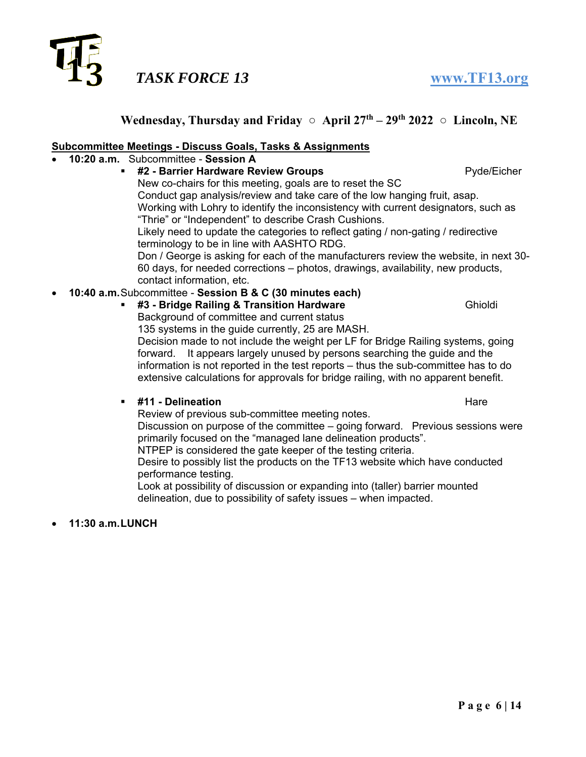

### **Subcommittee Meetings - Discuss Goals, Tasks & Assignments**

- **10:20 a.m.** Subcommittee **Session A**
	- **#2 Barrier Hardware Review Groups Pyde/Eicher** New co-chairs for this meeting, goals are to reset the SC Conduct gap analysis/review and take care of the low hanging fruit, asap. Working with Lohry to identify the inconsistency with current designators, such as "Thrie" or "Independent" to describe Crash Cushions. Likely need to update the categories to reflect gating / non-gating / redirective

terminology to be in line with AASHTO RDG.

Don / George is asking for each of the manufacturers review the website, in next 30- 60 days, for needed corrections – photos, drawings, availability, new products, contact information, etc.

### **10:40 a.m.** Subcommittee - **Session B & C (30 minutes each)**

**#3 - Bridge Railing & Transition Hardware** Ghioldi

Background of committee and current status

135 systems in the guide currently, 25 are MASH.

Decision made to not include the weight per LF for Bridge Railing systems, going forward. It appears largely unused by persons searching the guide and the information is not reported in the test reports – thus the sub-committee has to do extensive calculations for approvals for bridge railing, with no apparent benefit.

### **#11 - Delineation** Hare

Review of previous sub-committee meeting notes.

Discussion on purpose of the committee – going forward. Previous sessions were primarily focused on the "managed lane delineation products".

NTPEP is considered the gate keeper of the testing criteria.

Desire to possibly list the products on the TF13 website which have conducted performance testing.

Look at possibility of discussion or expanding into (taller) barrier mounted delineation, due to possibility of safety issues – when impacted.

**11:30 a.m.LUNCH**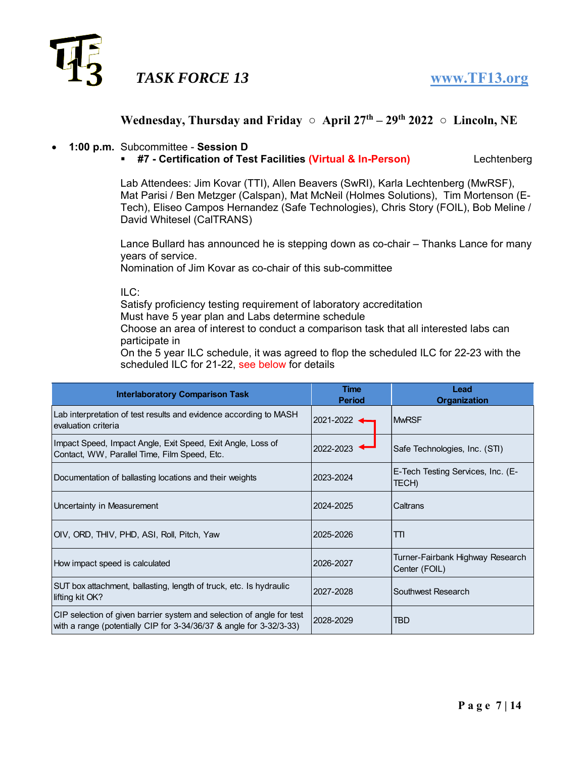

# Wednesday, Thursday and Friday ○ April 27<sup>th</sup> – 29<sup>th</sup> 2022 ○ Lincoln, NE

### **1:00 p.m.** Subcommittee - **Session D**

**#7 - Certification of Test Facilities (Virtual & In-Person)** Lechtenberg

Lab Attendees: Jim Kovar (TTI), Allen Beavers (SwRI), Karla Lechtenberg (MwRSF), Mat Parisi / Ben Metzger (Calspan), Mat McNeil (Holmes Solutions), Tim Mortenson (E-Tech), Eliseo Campos Hernandez (Safe Technologies), Chris Story (FOIL), Bob Meline / David Whitesel (CalTRANS)

Lance Bullard has announced he is stepping down as co-chair – Thanks Lance for many years of service.

Nomination of Jim Kovar as co-chair of this sub-committee

ILC:

Satisfy proficiency testing requirement of laboratory accreditation Must have 5 year plan and Labs determine schedule

Choose an area of interest to conduct a comparison task that all interested labs can participate in

On the 5 year ILC schedule, it was agreed to flop the scheduled ILC for 22-23 with the scheduled ILC for 21-22, see below for details

| <b>Interlaboratory Comparison Task</b>                                                                                                       | <b>Time</b><br><b>Period</b> | Lead<br><b>Organization</b>                       |
|----------------------------------------------------------------------------------------------------------------------------------------------|------------------------------|---------------------------------------------------|
| Lab interpretation of test results and evidence according to MASH<br>evaluation criteria                                                     | 2021-2022 ◀                  | <b>MwRSF</b>                                      |
| Impact Speed, Impact Angle, Exit Speed, Exit Angle, Loss of<br>Contact, WW, Parallel Time, Film Speed, Etc.                                  | 2022-2023                    | Safe Technologies, Inc. (STI)                     |
| Documentation of ballasting locations and their weights                                                                                      | 2023-2024                    | E-Tech Testing Services, Inc. (E-<br>TECH)        |
| Uncertainty in Measurement                                                                                                                   | 2024-2025                    | Caltrans                                          |
| OIV, ORD, THIV, PHD, ASI, Roll, Pitch, Yaw                                                                                                   | 2025-2026                    | TΤΙ                                               |
| How impact speed is calculated                                                                                                               | 2026-2027                    | Turner-Fairbank Highway Research<br>Center (FOIL) |
| SUT box attachment, ballasting, length of truck, etc. Is hydraulic<br>lifting kit OK?                                                        | 2027-2028                    | Southwest Research                                |
| CIP selection of given barrier system and selection of angle for test<br>with a range (potentially CIP for 3-34/36/37 & angle for 3-32/3-33) | 2028-2029                    | TBD                                               |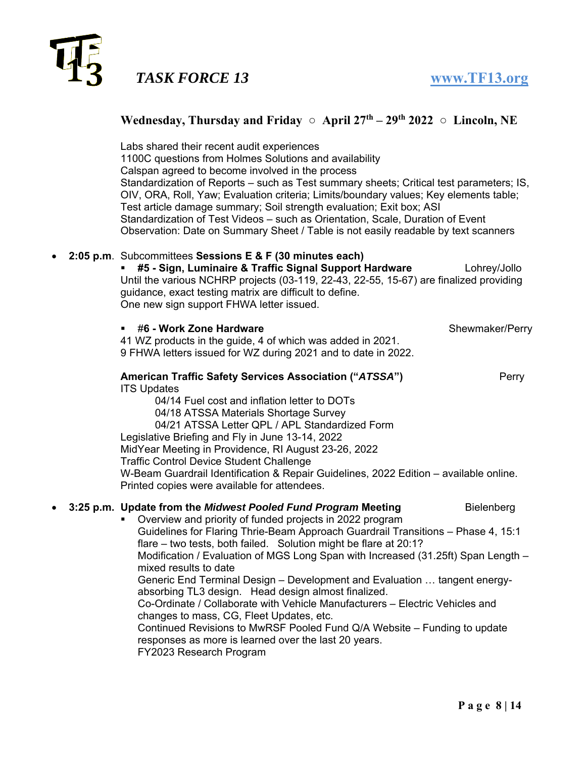

### **Wednesday, Thursday and Friday**  $\circ$  **April 27<sup>th</sup> – 29<sup>th</sup> 2022**  $\circ$  **Lincoln, NE**

Labs shared their recent audit experiences 1100C questions from Holmes Solutions and availability Calspan agreed to become involved in the process Standardization of Reports – such as Test summary sheets; Critical test parameters; IS, OIV, ORA, Roll, Yaw; Evaluation criteria; Limits/boundary values; Key elements table; Test article damage summary; Soil strength evaluation; Exit box; ASI Standardization of Test Videos – such as Orientation, Scale, Duration of Event Observation: Date on Summary Sheet / Table is not easily readable by text scanners

#### **2:05 p.m**. Subcommittees **Sessions E & F (30 minutes each)**

 **#5 - Sign, Luminaire & Traffic Signal Support Hardware** Lohrey/Jollo Until the various NCHRP projects (03-119, 22-43, 22-55, 15-67) are finalized providing guidance, exact testing matrix are difficult to define. One new sign support FHWA letter issued.

**46 - Work Zone Hardware** Shewmaker/Perry **Shewmaker/Perry** 41 WZ products in the guide, 4 of which was added in 2021.

9 FHWA letters issued for WZ during 2021 and to date in 2022.

### **American Traffic Safety Services Association ("***ATSSA***") Perry** ITS Updates

04/14 Fuel cost and inflation letter to DOTs 04/18 ATSSA Materials Shortage Survey 04/21 ATSSA Letter QPL / APL Standardized Form Legislative Briefing and Fly in June 13-14, 2022 MidYear Meeting in Providence, RI August 23-26, 2022 Traffic Control Device Student Challenge W-Beam Guardrail Identification & Repair Guidelines, 2022 Edition – available online. Printed copies were available for attendees.

### **3:25 p.m. Update from the** *Midwest Pooled Fund Program* **Meeting Bielenberg**

 Overview and priority of funded projects in 2022 program Guidelines for Flaring Thrie-Beam Approach Guardrail Transitions – Phase 4, 15:1 flare – two tests, both failed. Solution might be flare at 20:1? Modification / Evaluation of MGS Long Span with Increased (31.25ft) Span Length – mixed results to date Generic End Terminal Design – Development and Evaluation … tangent energyabsorbing TL3 design. Head design almost finalized. Co-Ordinate / Collaborate with Vehicle Manufacturers – Electric Vehicles and changes to mass, CG, Fleet Updates, etc. Continued Revisions to MwRSF Pooled Fund Q/A Website – Funding to update responses as more is learned over the last 20 years. FY2023 Research Program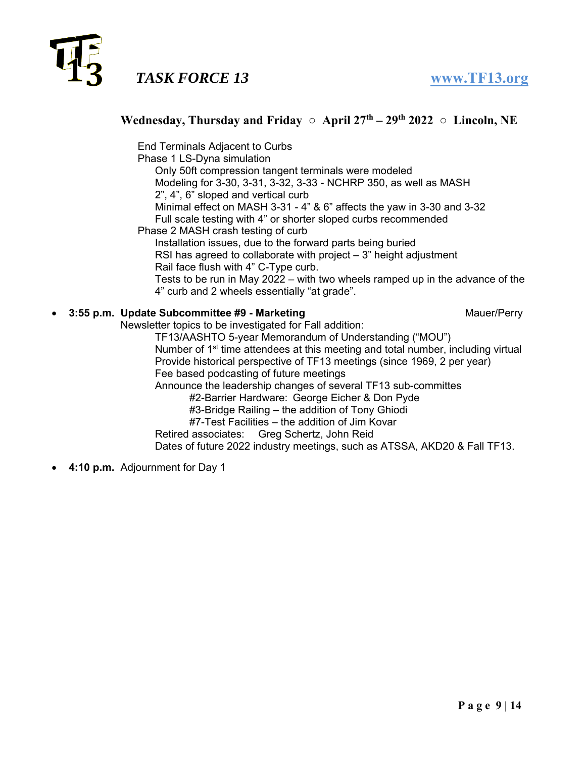

### **Wednesday, Thursday and Friday**  $\circ$  **April 27<sup>th</sup> – 29<sup>th</sup> 2022**  $\circ$  **Lincoln, NE**

End Terminals Adjacent to Curbs Phase 1 LS-Dyna simulation Only 50ft compression tangent terminals were modeled Modeling for 3-30, 3-31, 3-32, 3-33 - NCHRP 350, as well as MASH 2", 4", 6" sloped and vertical curb Minimal effect on MASH 3-31 - 4" & 6" affects the yaw in 3-30 and 3-32 Full scale testing with 4" or shorter sloped curbs recommended Phase 2 MASH crash testing of curb Installation issues, due to the forward parts being buried RSI has agreed to collaborate with project – 3" height adjustment Rail face flush with 4" C-Type curb. Tests to be run in May 2022 – with two wheels ramped up in the advance of the 4" curb and 2 wheels essentially "at grade". **3:55 p.m. Update Subcommittee #9 - Marketing Manuer/Perry Mauer/Perry** Newsletter topics to be investigated for Fall addition: TF13/AASHTO 5-year Memorandum of Understanding ("MOU") Number of 1st time attendees at this meeting and total number, including virtual Provide historical perspective of TF13 meetings (since 1969, 2 per year) Fee based podcasting of future meetings Announce the leadership changes of several TF13 sub-committes #2-Barrier Hardware: George Eicher & Don Pyde #3-Bridge Railing – the addition of Tony Ghiodi

#7-Test Facilities – the addition of Jim Kovar

Retired associates: Greg Schertz, John Reid Dates of future 2022 industry meetings, such as ATSSA, AKD20 & Fall TF13.

**4:10 p.m.** Adjournment for Day 1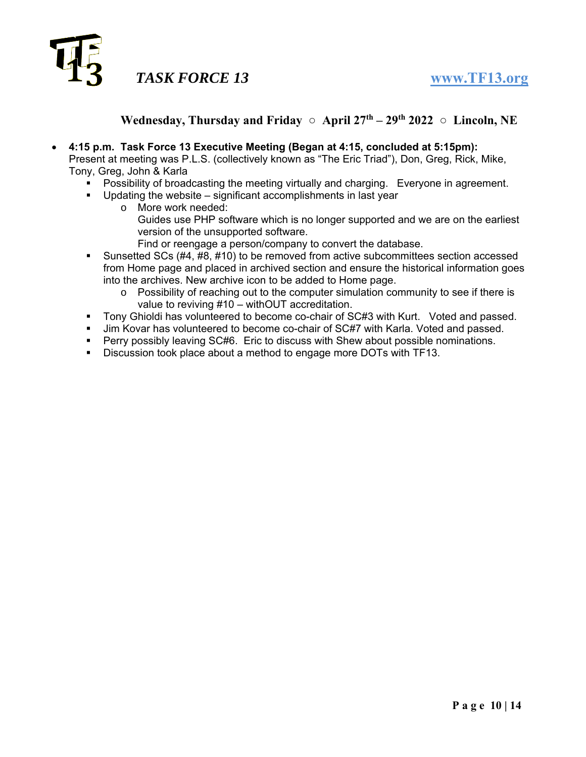

## Wednesday, Thursday and Friday ○ April 27<sup>th</sup> – 29<sup>th</sup> 2022 ○ Lincoln, NE

- **4:15 p.m. Task Force 13 Executive Meeting (Began at 4:15, concluded at 5:15pm):** Present at meeting was P.L.S. (collectively known as "The Eric Triad"), Don, Greg, Rick, Mike, Tony, Greg, John & Karla
	- **Possibility of broadcasting the meeting virtually and charging.** Everyone in agreement.
	- Updating the website significant accomplishments in last year
		- o More work needed: Guides use PHP software which is no longer supported and we are on the earliest version of the unsupported software. Find or reengage a person/company to convert the database.
	- Sunsetted SCs (#4, #8, #10) to be removed from active subcommittees section accessed from Home page and placed in archived section and ensure the historical information goes into the archives. New archive icon to be added to Home page.
		- $\circ$  Possibility of reaching out to the computer simulation community to see if there is value to reviving #10 – withOUT accreditation.
	- Tony Ghioldi has volunteered to become co-chair of SC#3 with Kurt. Voted and passed.
	- Jim Kovar has volunteered to become co-chair of SC#7 with Karla. Voted and passed.
	- **Perry possibly leaving SC#6. Eric to discuss with Shew about possible nominations.**
	- Discussion took place about a method to engage more DOTs with TF13.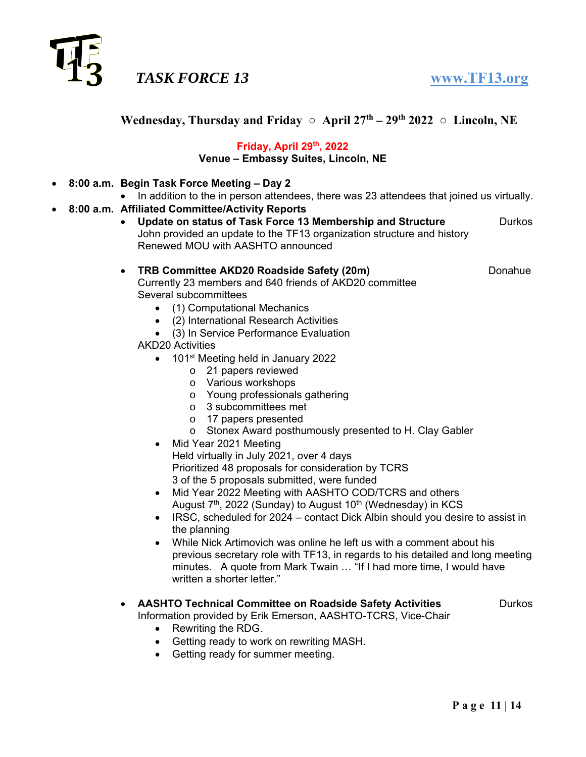

**Wednesday, Thursday and Friday**  $\circ$  **April 27<sup>th</sup> – 29<sup>th</sup> 2022**  $\circ$  **Lincoln, NE** 

### **Friday, April 29th, 2022 Venue – Embassy Suites, Lincoln, NE**

- **8:00 a.m. Begin Task Force Meeting Day 2** 
	- In addition to the in person attendees, there was 23 attendees that joined us virtually.
- **8:00 a.m. Affiliated Committee/Activity Reports** 
	- **Update on status of Task Force 13 Membership and Structure Durkos** John provided an update to the TF13 organization structure and history Renewed MOU with AASHTO announced

### **• TRB Committee AKD20 Roadside Safety (20m) 
<br>
Donahue**

Currently 23 members and 640 friends of AKD20 committee Several subcommittees

- (1) Computational Mechanics
- (2) International Research Activities
- (3) In Service Performance Evaluation
- AKD20 Activities
	- 101<sup>st</sup> Meeting held in January 2022
		- o 21 papers reviewed
		- o Various workshops
		- o Young professionals gathering
		- o 3 subcommittees met
		- o 17 papers presented
		- o Stonex Award posthumously presented to H. Clay Gabler
	- Mid Year 2021 Meeting Held virtually in July 2021, over 4 days Prioritized 48 proposals for consideration by TCRS 3 of the 5 proposals submitted, were funded
	- Mid Year 2022 Meeting with AASHTO COD/TCRS and others August  $7<sup>th</sup>$ , 2022 (Sunday) to August 10<sup>th</sup> (Wednesday) in KCS
	- IRSC, scheduled for 2024 contact Dick Albin should you desire to assist in the planning
	- While Nick Artimovich was online he left us with a comment about his previous secretary role with TF13, in regards to his detailed and long meeting minutes. A quote from Mark Twain … "If I had more time, I would have written a shorter letter."
- **AASHTO Technical Committee on Roadside Safety Activities** Durkos Information provided by Erik Emerson, AASHTO-TCRS, Vice-Chair
	-

- Rewriting the RDG.
	- Getting ready to work on rewriting MASH.
	- Getting ready for summer meeting.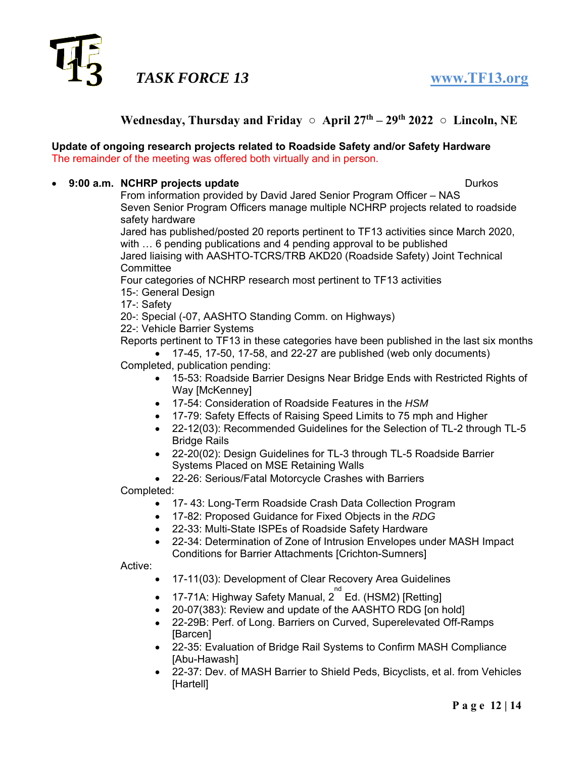

### **Wednesday, Thursday and Friday**  $\circ$  **April 27<sup>th</sup> – 29<sup>th</sup> 2022**  $\circ$  **Lincoln, NE**

#### **Update of ongoing research projects related to Roadside Safety and/or Safety Hardware** The remainder of the meeting was offered both virtually and in person.

#### **9:00 a.m. NCHRP projects update** Durkos

From information provided by David Jared Senior Program Officer – NAS Seven Senior Program Officers manage multiple NCHRP projects related to roadside safety hardware

Jared has published/posted 20 reports pertinent to TF13 activities since March 2020, with … 6 pending publications and 4 pending approval to be published Jared liaising with AASHTO-TCRS/TRB AKD20 (Roadside Safety) Joint Technical **Committee** 

Four categories of NCHRP research most pertinent to TF13 activities 15-: General Design

17-: Safety

20-: Special (-07, AASHTO Standing Comm. on Highways)

22-: Vehicle Barrier Systems

Reports pertinent to TF13 in these categories have been published in the last six months

 17-45, 17-50, 17-58, and 22-27 are published (web only documents) Completed, publication pending:

- 15-53: Roadside Barrier Designs Near Bridge Ends with Restricted Rights of Way [McKenney]
- 17-54: Consideration of Roadside Features in the *HSM*
- 17-79: Safety Effects of Raising Speed Limits to 75 mph and Higher
- 22-12(03): Recommended Guidelines for the Selection of TL-2 through TL-5 Bridge Rails
- 22-20(02): Design Guidelines for TL-3 through TL-5 Roadside Barrier Systems Placed on MSE Retaining Walls
- 22-26: Serious/Fatal Motorcycle Crashes with Barriers

Completed:

- 17- 43: Long-Term Roadside Crash Data Collection Program
- 17-82: Proposed Guidance for Fixed Objects in the *RDG*
- 22-33: Multi-State ISPEs of Roadside Safety Hardware
- 22-34: Determination of Zone of Intrusion Envelopes under MASH Impact Conditions for Barrier Attachments [Crichton-Sumners]

Active:

- 17-11(03): Development of Clear Recovery Area Guidelines
- $\bullet$  17-71A: Highway Safety Manual, 2 $^{\mathrm{nd}}$  Ed. (HSM2) [Retting]
- 20-07(383): Review and update of the AASHTO RDG [on hold]
- 22-29B: Perf. of Long. Barriers on Curved, Superelevated Off-Ramps [Barcen]
- 22-35: Evaluation of Bridge Rail Systems to Confirm MASH Compliance [Abu-Hawash]
- 22-37: Dev. of MASH Barrier to Shield Peds, Bicyclists, et al. from Vehicles [Hartell]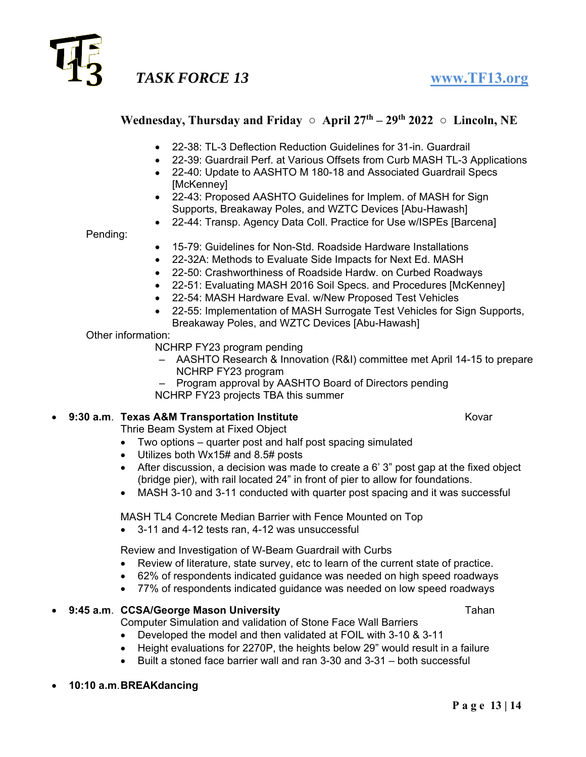

### Wednesday, Thursday and Friday ○ April 27<sup>th</sup> – 29<sup>th</sup> 2022 ○ Lincoln, NE

- 22-38: TL-3 Deflection Reduction Guidelines for 31-in. Guardrail
- 22-39: Guardrail Perf. at Various Offsets from Curb MASH TL-3 Applications
- 22-40: Update to AASHTO M 180-18 and Associated Guardrail Specs [McKenney]
- 22-43: Proposed AASHTO Guidelines for Implem. of MASH for Sign Supports, Breakaway Poles, and WZTC Devices [Abu-Hawash]
- 22-44: Transp. Agency Data Coll. Practice for Use w/ISPEs [Barcena]

Pending:

- 15-79: Guidelines for Non-Std. Roadside Hardware Installations
- 22-32A: Methods to Evaluate Side Impacts for Next Ed. MASH
- 22-50: Crashworthiness of Roadside Hardw. on Curbed Roadways
- 22-51: Evaluating MASH 2016 Soil Specs. and Procedures [McKenney]
- 22-54: MASH Hardware Eval. w/New Proposed Test Vehicles
- 22-55: Implementation of MASH Surrogate Test Vehicles for Sign Supports, Breakaway Poles, and WZTC Devices [Abu-Hawash]

#### Other information:

NCHRP FY23 program pending

- AASHTO Research & Innovation (R&I) committee met April 14-15 to prepare NCHRP FY23 program
- Program approval by AASHTO Board of Directors pending NCHRP FY23 projects TBA this summer

### **9:30 a.m. Texas A&M Transportation Institute 19:30 a.m. Texas A&M Transportation Institute**

Thrie Beam System at Fixed Object

- Two options quarter post and half post spacing simulated
- Utilizes both Wx15# and 8.5# posts
- After discussion, a decision was made to create a 6' 3" post gap at the fixed object (bridge pier), with rail located 24" in front of pier to allow for foundations.
- MASH 3-10 and 3-11 conducted with quarter post spacing and it was successful

MASH TL4 Concrete Median Barrier with Fence Mounted on Top

3-11 and 4-12 tests ran, 4-12 was unsuccessful

Review and Investigation of W-Beam Guardrail with Curbs

- Review of literature, state survey, etc to learn of the current state of practice.
- 62% of respondents indicated guidance was needed on high speed roadways
- 77% of respondents indicated guidance was needed on low speed roadways

### **9:45 a.m. CCSA/George Mason University Construction Construction Tahan**

Computer Simulation and validation of Stone Face Wall Barriers

- Developed the model and then validated at FOIL with 3-10 & 3-11
- Height evaluations for 2270P, the heights below 29" would result in a failure
- $\bullet$  Built a stoned face barrier wall and ran 3-30 and 3-31 both successful
- **10:10 a.m**. **BREAKdancing**